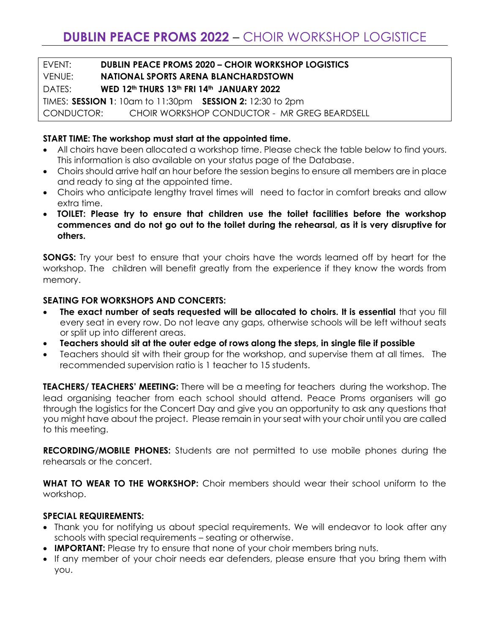#### EVENT: **DUBLIN PEACE PROMS 2020 – CHOIR WORKSHOP LOGISTICS** VENUE: **NATIONAL SPORTS ARENA BLANCHARDSTOWN**

# DATES: **WED 12th THURS 13th FRI 14th JANUARY 2022**

TIMES: **SESSION 1**: 10am to 11:30pm **SESSION 2:** 12:30 to 2pm CONDUCTOR: CHOIR WORKSHOP CONDUCTOR - MR GREG BEARDSELL

## **START TIME: The workshop must start at the appointed time.**

- All choirs have been allocated a workshop time. Please check the table below to find yours. This information is also available on your status page of the Database.
- Choirs should arrive half an hour before the session begins to ensure all members are in place and ready to sing at the appointed time.
- Choirs who anticipate lengthy travel times will need to factor in comfort breaks and allow extra time.
- **TOILET: Please try to ensure that children use the toilet facilities before the workshop commences and do not go out to the toilet during the rehearsal, as it is very disruptive for others.**

**SONGS:** Try your best to ensure that your choirs have the words learned off by heart for the workshop. The children will benefit greatly from the experience if they know the words from memory.

#### **SEATING FOR WORKSHOPS AND CONCERTS:**

- **The exact number of seats requested will be allocated to choirs. It is essential** that you fill every seat in every row. Do not leave any gaps, otherwise schools will be left without seats or split up into different areas.
- **Teachers should sit at the outer edge of rows along the steps, in single file if possible**
- Teachers should sit with their group for the workshop, and supervise them at all times. The recommended supervision ratio is 1 teacher to 15 students.

**TEACHERS/ TEACHERS' MEETING:** There will be a meeting for teachers during the workshop. The lead organising teacher from each school should attend. Peace Proms organisers will go through the logistics for the Concert Day and give you an opportunity to ask any questions that you might have about the project. Please remain in your seat with your choir until you are called to this meeting.

**RECORDING/MOBILE PHONES:** Students are not permitted to use mobile phones during the rehearsals or the concert.

**WHAT TO WEAR TO THE WORKSHOP:** Choir members should wear their school uniform to the workshop.

#### **SPECIAL REQUIREMENTS:**

- Thank you for notifying us about special requirements. We will endeavor to look after any schools with special requirements – seating or otherwise.
- **IMPORTANT:** Please try to ensure that none of your choir members bring nuts.
- If any member of your choir needs ear defenders, please ensure that you bring them with you.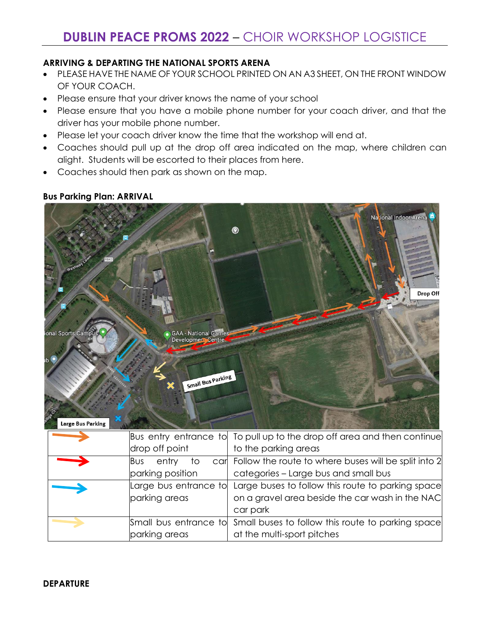### **ARRIVING & DEPARTING THE NATIONAL SPORTS ARENA**

- PLEASE HAVE THE NAME OF YOUR SCHOOL PRINTED ON AN A3 SHEET, ON THE FRONT WINDOW OF YOUR COACH.
- Please ensure that your driver knows the name of your school
- Please ensure that you have a mobile phone number for your coach driver, and that the driver has your mobile phone number.
- Please let your coach driver know the time that the workshop will end at.
- Coaches should pull up at the drop off area indicated on the map, where children can alight. Students will be escorted to their places from here.
- Coaches should then park as shown on the map.

#### **Bus Parking Plan: ARRIVAL**



|                            | Bus entry entrance to To pull up to the drop off area and then continue |
|----------------------------|-------------------------------------------------------------------------|
| drop off point             | to the parking areas                                                    |
| entry<br><b>B</b> us<br>TΟ | car Follow the route to where buses will be split into 2                |
| parking position           | categories - Large bus and small bus                                    |
|                            | Large bus entrance to Large buses to follow this route to parking space |
| parking areas              | on a gravel area beside the car wash in the NAC                         |
|                            | car park                                                                |
|                            | Small bus entrance to Small buses to follow this route to parking space |
| parking areas              | at the multi-sport pitches                                              |